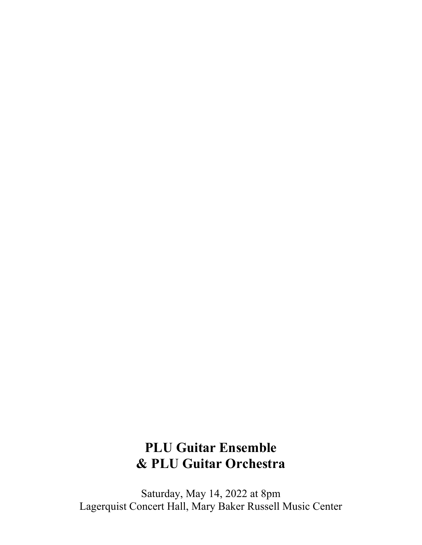## **PLU Guitar Ensemble & PLU Guitar Orchestra**

Saturday, May 14, 2022 at 8pm Lagerquist Concert Hall, Mary Baker Russell Music Center